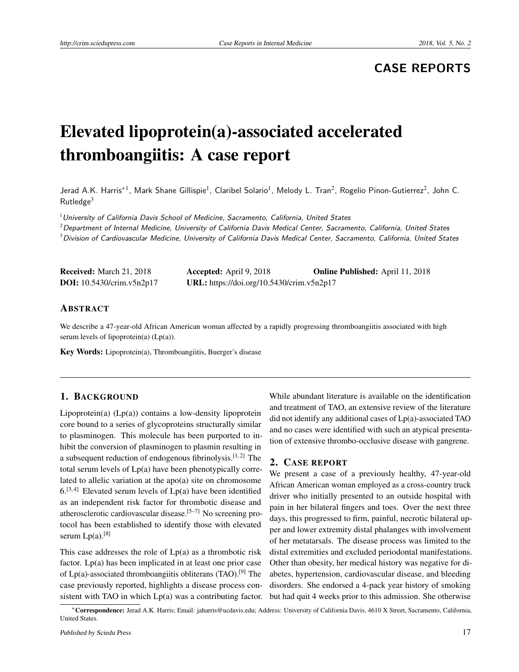## **CASE REPORTS**

# Elevated lipoprotein(a)-associated accelerated thromboangiitis: A case report

Jerad A.K. Harris\*<sup>1</sup>, Mark Shane Gillispie<sup>1</sup>, Claribel Solario<sup>1</sup>, Melody L. Tran<sup>2</sup>, Rogelio Pinon-Gutierrez<sup>2</sup>, John C.  $R$ utledge $3$ 

 $1$ University of California Davis School of Medicine, Sacramento, California, United States

 $2$  Department of Internal Medicine, University of California Davis Medical Center, Sacramento, California, United States  $3$ Division of Cardiovascular Medicine, University of California Davis Medical Center, Sacramento, California, United States

| <b>Received:</b> March 21, 2018    | <b>Accepted:</b> April 9, 2018            | <b>Online Published:</b> April 11, 2018 |
|------------------------------------|-------------------------------------------|-----------------------------------------|
| <b>DOI:</b> $10.5430/crim.v5n2p17$ | URL: https://doi.org/10.5430/crim.v5n2p17 |                                         |

#### ABSTRACT

We describe a 47-year-old African American woman affected by a rapidly progressing thromboangiitis associated with high serum levels of lipoprotein(a)  $(Lp(a))$ .

Key Words: Lipoprotein(a), Thromboangiitis, Buerger's disease

#### 1. BACKGROUND

Lipoprotein(a)  $(Lp(a))$  contains a low-density lipoprotein core bound to a series of glycoproteins structurally similar to plasminogen. This molecule has been purported to inhibit the conversion of plasminogen to plasmin resulting in a subsequent reduction of endogenous fibrinolysis.<sup>[\[1,](#page-2-0)[2\]](#page-2-1)</sup> The total serum levels of Lp(a) have been phenotypically correlated to allelic variation at the apo(a) site on chromosome  $6.^{[3,4]}$  $6.^{[3,4]}$  $6.^{[3,4]}$  $6.^{[3,4]}$  Elevated serum levels of Lp(a) have been identified as an independent risk factor for thrombotic disease and atherosclerotic cardiovascular disease.[\[5](#page-2-4)[–7\]](#page-2-5) No screening protocol has been established to identify those with elevated serum  $Lp(a)$ .[\[8\]](#page-2-6)

This case addresses the role of  $Lp(a)$  as a thrombotic risk factor. Lp(a) has been implicated in at least one prior case of  $Lp(a)$ -associated thromboangiitis obliterans (TAO).<sup>[\[9\]](#page-2-7)</sup> The case previously reported, highlights a disease process consistent with TAO in which Lp(a) was a contributing factor. While abundant literature is available on the identification and treatment of TAO, an extensive review of the literature did not identify any additional cases of Lp(a)-associated TAO and no cases were identified with such an atypical presentation of extensive thrombo-occlusive disease with gangrene.

#### 2. CASE REPORT

We present a case of a previously healthy, 47-year-old African American woman employed as a cross-country truck driver who initially presented to an outside hospital with pain in her bilateral fingers and toes. Over the next three days, this progressed to firm, painful, necrotic bilateral upper and lower extremity distal phalanges with involvement of her metatarsals. The disease process was limited to the distal extremities and excluded periodontal manifestations. Other than obesity, her medical history was negative for diabetes, hypertension, cardiovascular disease, and bleeding disorders. She endorsed a 4-pack year history of smoking but had quit 4 weeks prior to this admission. She otherwise

<sup>∗</sup>Correspondence: Jerad A.K. Harris; Email: jaharris@ucdavis.edu; Address: University of California Davis, 4610 X Street, Sacramento, California, United States.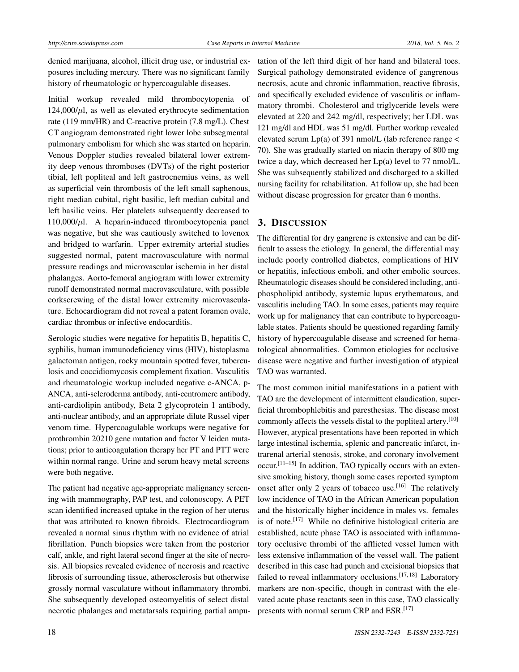denied marijuana, alcohol, illicit drug use, or industrial exposures including mercury. There was no significant family history of rheumatologic or hypercoagulable diseases.

Initial workup revealed mild thrombocytopenia of  $124,000/\mu$ l, as well as elevated erythrocyte sedimentation rate (119 mm/HR) and C-reactive protein (7.8 mg/L). Chest CT angiogram demonstrated right lower lobe subsegmental pulmonary embolism for which she was started on heparin. Venous Doppler studies revealed bilateral lower extremity deep venous thromboses (DVTs) of the right posterior tibial, left popliteal and left gastrocnemius veins, as well as superficial vein thrombosis of the left small saphenous, right median cubital, right basilic, left median cubital and left basilic veins. Her platelets subsequently decreased to  $110,000/\mu$ l. A heparin-induced thrombocytopenia panel was negative, but she was cautiously switched to lovenox and bridged to warfarin. Upper extremity arterial studies suggested normal, patent macrovasculature with normal pressure readings and microvascular ischemia in her distal phalanges. Aorto-femoral angiogram with lower extremity runoff demonstrated normal macrovasculature, with possible corkscrewing of the distal lower extremity microvasculature. Echocardiogram did not reveal a patent foramen ovale, cardiac thrombus or infective endocarditis.

Serologic studies were negative for hepatitis B, hepatitis C, syphilis, human immunodeficiency virus (HIV), histoplasma galactoman antigen, rocky mountain spotted fever, tuberculosis and coccidiomycosis complement fixation. Vasculitis and rheumatologic workup included negative c-ANCA, p-ANCA, anti-scleroderma antibody, anti-centromere antibody, anti-cardiolipin antibody, Beta 2 glycoprotein 1 antibody, anti-nuclear antibody, and an appropriate dilute Russel viper venom time. Hypercoagulable workups were negative for prothrombin 20210 gene mutation and factor V leiden mutations; prior to anticoagulation therapy her PT and PTT were within normal range. Urine and serum heavy metal screens were both negative.

The patient had negative age-appropriate malignancy screening with mammography, PAP test, and colonoscopy. A PET scan identified increased uptake in the region of her uterus that was attributed to known fibroids. Electrocardiogram revealed a normal sinus rhythm with no evidence of atrial fibrillation. Punch biopsies were taken from the posterior calf, ankle, and right lateral second finger at the site of necrosis. All biopsies revealed evidence of necrosis and reactive fibrosis of surrounding tissue, atherosclerosis but otherwise grossly normal vasculature without inflammatory thrombi. She subsequently developed osteomyelitis of select distal necrotic phalanges and metatarsals requiring partial amputation of the left third digit of her hand and bilateral toes. Surgical pathology demonstrated evidence of gangrenous necrosis, acute and chronic inflammation, reactive fibrosis, and specifically excluded evidence of vasculitis or inflammatory thrombi. Cholesterol and triglyceride levels were elevated at 220 and 242 mg/dl, respectively; her LDL was 121 mg/dl and HDL was 51 mg/dl. Further workup revealed elevated serum  $Lp(a)$  of 391 nmol/L (lab reference range  $\lt$ 70). She was gradually started on niacin therapy of 800 mg twice a day, which decreased her Lp(a) level to 77 nmol/L. She was subsequently stabilized and discharged to a skilled nursing facility for rehabilitation. At follow up, she had been without disease progression for greater than 6 months.

### 3. DISCUSSION

The differential for dry gangrene is extensive and can be difficult to assess the etiology. In general, the differential may include poorly controlled diabetes, complications of HIV or hepatitis, infectious emboli, and other embolic sources. Rheumatologic diseases should be considered including, antiphospholipid antibody, systemic lupus erythematous, and vasculitis including TAO. In some cases, patients may require work up for malignancy that can contribute to hypercoagulable states. Patients should be questioned regarding family history of hypercoagulable disease and screened for hematological abnormalities. Common etiologies for occlusive disease were negative and further investigation of atypical TAO was warranted.

The most common initial manifestations in a patient with TAO are the development of intermittent claudication, superficial thrombophlebitis and paresthesias. The disease most commonly affects the vessels distal to the popliteal artery.[\[10\]](#page-2-8) However, atypical presentations have been reported in which large intestinal ischemia, splenic and pancreatic infarct, intrarenal arterial stenosis, stroke, and coronary involvement occur.<sup>[\[11](#page-2-9)-15]</sup> In addition, TAO typically occurs with an extensive smoking history, though some cases reported symptom onset after only 2 years of tobacco use.<sup>[\[16\]](#page-3-1)</sup> The relatively low incidence of TAO in the African American population and the historically higher incidence in males vs. females is of note.<sup>[\[17\]](#page-3-2)</sup> While no definitive histological criteria are established, acute phase TAO is associated with inflammatory occlusive thrombi of the afflicted vessel lumen with less extensive inflammation of the vessel wall. The patient described in this case had punch and excisional biopsies that failed to reveal inflammatory occlusions.<sup>[\[17,](#page-3-2) [18\]](#page-3-3)</sup> Laboratory markers are non-specific, though in contrast with the elevated acute phase reactants seen in this case, TAO classically presents with normal serum CRP and ESR.[\[17\]](#page-3-2)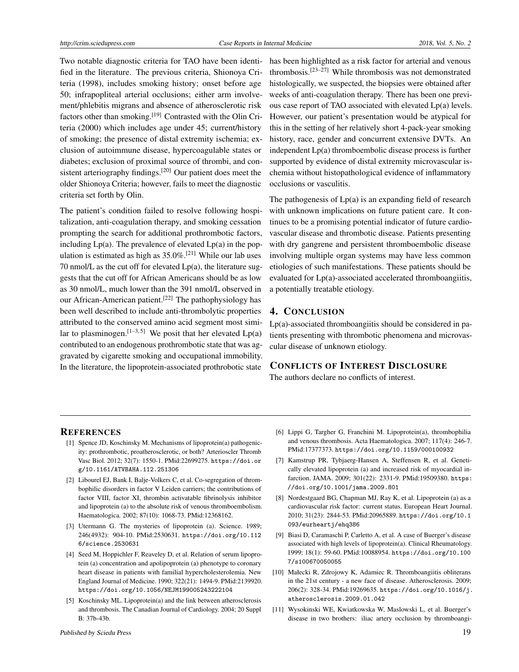Two notable diagnostic criteria for TAO have been identified in the literature. The previous criteria, Shionoya Criteria (1998), includes smoking history; onset before age 50; infrapopliteal arterial occlusions; either arm involvement/phlebitis migrans and absence of atherosclerotic risk factors other than smoking.<sup>[\[19\]](#page-3-4)</sup> Contrasted with the Olin Criteria (2000) which includes age under 45; current/history of smoking; the presence of distal extremity ischemia; exclusion of autoimmune disease, hypercoagulable states or diabetes; exclusion of proximal source of thrombi, and con-sistent arteriography findings.<sup>[\[20\]](#page-3-5)</sup> Our patient does meet the older Shionoya Criteria; however, fails to meet the diagnostic criteria set forth by Olin.

The patient's condition failed to resolve following hospitalization, anti-coagulation therapy, and smoking cessation prompting the search for additional prothrombotic factors, including  $Lp(a)$ . The prevalence of elevated  $Lp(a)$  in the population is estimated as high as  $35.0\%$ .<sup>[\[21\]](#page-3-6)</sup> While our lab uses 70 nmol/L as the cut off for elevated  $Lp(a)$ , the literature suggests that the cut off for African Americans should be as low as 30 nmol/L, much lower than the 391 nmol/L observed in our African-American patient.<sup>[\[22\]](#page-3-7)</sup> The pathophysiology has been well described to include anti-thrombolytic properties attributed to the conserved amino acid segment most simi-lar to plasminogen.<sup>[\[1](#page-2-0)[–3,](#page-2-2)[5\]](#page-2-4)</sup> We posit that her elevated  $Lp(a)$ contributed to an endogenous prothrombotic state that was aggravated by cigarette smoking and occupational immobility. In the literature, the lipoprotein-associated prothrobotic state

has been highlighted as a risk factor for arterial and venous thrombosis.[\[23–](#page-3-8)[27\]](#page-3-9) While thrombosis was not demonstrated histologically, we suspected, the biopsies were obtained after weeks of anti-coagulation therapy. There has been one previous case report of TAO associated with elevated Lp(a) levels. However, our patient's presentation would be atypical for this in the setting of her relatively short 4-pack-year smoking history, race, gender and concurrent extensive DVTs. An independent Lp(a) thromboembolic disease process is further supported by evidence of distal extremity microvascular ischemia without histopathological evidence of inflammatory occlusions or vasculitis.

The pathogenesis of  $Lp(a)$  is an expanding field of research with unknown implications on future patient care. It continues to be a promising potential indicator of future cardiovascular disease and thrombotic disease. Patients presenting with dry gangrene and persistent thromboembolic disease involving multiple organ systems may have less common etiologies of such manifestations. These patients should be evaluated for Lp(a)-associated accelerated thromboangiitis, a potentially treatable etiology.

#### 4. CONCLUSION

Lp(a)-associated thromboangiitis should be considered in patients presenting with thrombotic phenomena and microvascular disease of unknown etiology.

#### CONFLICTS OF INTEREST DISCLOSURE

The authors declare no conflicts of interest.

#### **REFERENCES**

- <span id="page-2-0"></span>[1] Spence JD, Koschinsky M. Mechanisms of lipoprotein(a) pathogenicity: prothrombotic, proatherosclerotic, or both? Arterioscler Thromb Vasc Biol. 2012; 32(7): 1550-1. PMid:22699275. [https://doi.or](https://doi.org/10.1161/ATVBAHA.112.251306) [g/10.1161/ATVBAHA.112.251306](https://doi.org/10.1161/ATVBAHA.112.251306)
- <span id="page-2-1"></span>[2] Libourel EJ, Bank I, Balje-Volkers C, et al. Co-segregation of thrombophilic disorders in factor V Leiden carriers; the contributions of factor VIII, factor XI, thrombin activatable fibrinolysis inhibitor and lipoprotein (a) to the absolute risk of venous thromboembolism. Haematologica. 2002; 87(10): 1068-73. PMid:12368162.
- <span id="page-2-2"></span>[3] Utermann G. The mysteries of lipoprotein (a). Science. 1989; 246(4932): 904-10. PMid:2530631. [https://doi.org/10.112](https://doi.org/10.1126/science.2530631) [6/science.2530631](https://doi.org/10.1126/science.2530631)
- <span id="page-2-3"></span>[4] Seed M, Hoppichler F, Reaveley D, et al. Relation of serum lipoprotein (a) concentration and apolipoprotein (a) phenotype to coronary heart disease in patients with familial hypercholesterolemia. New England Journal of Medicine. 1990; 322(21): 1494-9. PMid:2139920. <https://doi.org/10.1056/NEJM199005243222104>
- <span id="page-2-4"></span>[5] Koschinsky ML. Lipoprotein(a) and the link between atherosclerosis and thrombosis. The Canadian Journal of Cardiology. 2004; 20 Suppl B: 37b-43b.
- [6] Lippi G, Targher G, Franchini M. Lipoprotein(a), thrombophilia and venous thrombosis. Acta Haematologica. 2007; 117(4): 246-7. PMid:17377373. <https://doi.org/10.1159/000100932>
- <span id="page-2-5"></span>[7] Kamstrup PR, Tybjaerg-Hansen A, Steffensen R, et al. Genetically elevated lipoprotein (a) and increased risk of myocardial infarction. JAMA. 2009; 301(22): 2331-9. PMid:19509380. [https:](https://doi.org/10.1001/jama.2009.801) [//doi.org/10.1001/jama.2009.801](https://doi.org/10.1001/jama.2009.801)
- <span id="page-2-6"></span>[8] Nordestgaard BG, Chapman MJ, Ray K, et al. Lipoprotein (a) as a cardiovascular risk factor: current status. European Heart Journal. 2010; 31(23): 2844-53. PMid:20965889. [https://doi.org/10.1](https://doi.org/10.1093/eurheartj/ehq386) [093/eurheartj/ehq386](https://doi.org/10.1093/eurheartj/ehq386)
- <span id="page-2-7"></span>[9] Biasi D, Caramaschi P, Carletto A, et al. A case of Buerger's disease associated with high levels of lipoprotein(a). Clinical Rheumatology. 1999; 18(1): 59-60. PMid:10088954. [https://doi.org/10.100](https://doi.org/10.1007/s100670050055) [7/s100670050055](https://doi.org/10.1007/s100670050055)
- <span id="page-2-8"></span>[10] Małecki R, Zdrojowy K, Adamiec R. Thromboangiitis obliterans in the 21st century - a new face of disease. Atherosclerosis. 2009; 206(2): 328-34. PMid:19269635. [https://doi.org/10.1016/j.](https://doi.org/10.1016/j.atherosclerosis.2009.01.042) [atherosclerosis.2009.01.042](https://doi.org/10.1016/j.atherosclerosis.2009.01.042)
- <span id="page-2-9"></span>[11] Wysokinski WE, Kwiatkowska W, Maslowski L, et al. Buerger's disease in two brothers: iliac artery occlusion by thromboangi-